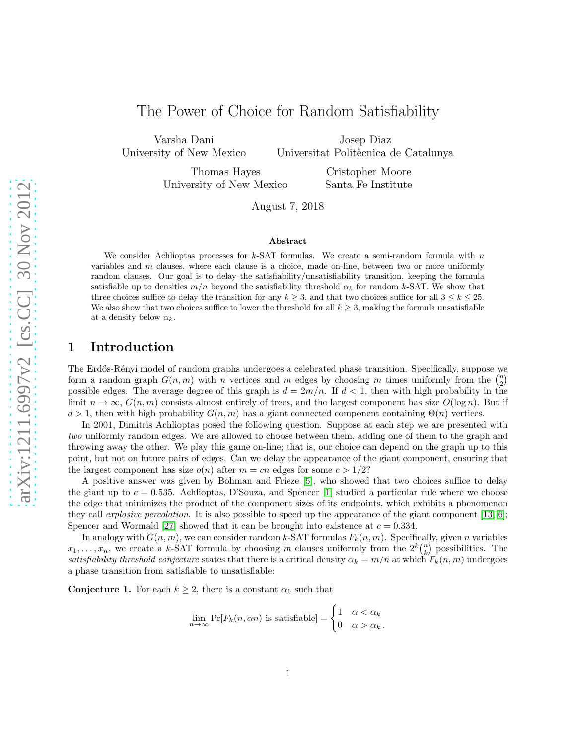# The Power of Choice for Random Satisfiability

Varsha Dani University of New Mexico

Josep Diaz Universitat Politècnica de Catalunya

Thomas Hayes University of New Mexico

Cristopher Moore Santa Fe Institute

August 7, 2018

#### Abstract

We consider Achlioptas processes for  $k$ -SAT formulas. We create a semi-random formula with  $n$ variables and  $m$  clauses, where each clause is a choice, made on-line, between two or more uniformly random clauses. Our goal is to delay the satisfiability/unsatisfiability transition, keeping the formula satisfiable up to densities  $m/n$  beyond the satisfiability threshold  $\alpha_k$  for random k-SAT. We show that three choices suffice to delay the transition for any  $k \geq 3$ , and that two choices suffice for all  $3 \leq k \leq 25$ . We also show that two choices suffice to lower the threshold for all  $k \geq 3$ , making the formula unsatisfiable at a density below  $\alpha_k$ .

# 1 Introduction

The Erdős-Rényi model of random graphs undergoes a celebrated phase transition. Specifically, suppose we form a random graph  $G(n, m)$  with n vertices and m edges by choosing m times uniformly from the  $\binom{n}{2}$ possible edges. The average degree of this graph is  $d = 2m/n$ . If  $d < 1$ , then with high probability in the limit  $n \to \infty$ ,  $G(n, m)$  consists almost entirely of trees, and the largest component has size  $O(\log n)$ . But if  $d > 1$ , then with high probability  $G(n, m)$  has a giant connected component containing  $\Theta(n)$  vertices.

In 2001, Dimitris Achlioptas posed the following question. Suppose at each step we are presented with two uniformly random edges. We are allowed to choose between them, adding one of them to the graph and throwing away the other. We play this game on-line; that is, our choice can depend on the graph up to this point, but not on future pairs of edges. Can we delay the appearance of the giant component, ensuring that the largest component has size  $o(n)$  after  $m = cn$  edges for some  $c > 1/2$ ?

A positive answer was given by Bohman and Frieze [\[5\]](#page-8-0), who showed that two choices suffice to delay the giant up to  $c = 0.535$ . Achlioptas, D'Souza, and Spencer [\[1\]](#page-7-0) studied a particular rule where we choose the edge that minimizes the product of the component sizes of its endpoints, which exhibits a phenomenon they call *explosive percolation*. It is also possible to speed up the appearance of the giant component [\[13,](#page-8-1) [6\]](#page-8-2); Spencer and Wormald [\[27\]](#page-9-0) showed that it can be brought into existence at  $c = 0.334$ .

In analogy with  $G(n, m)$ , we can consider random k-SAT formulas  $F_k(n, m)$ . Specifically, given n variables  $x_1, \ldots, x_n$ , we create a k-SAT formula by choosing m clauses uniformly from the  $2^k {n \choose k}$  possibilities. The satisfiability threshold conjecture states that there is a critical density  $\alpha_k = m/n$  at which  $F_k(n,m)$  undergoes a phase transition from satisfiable to unsatisfiable:

**Conjecture 1.** For each  $k \geq 2$ , there is a constant  $\alpha_k$  such that

$$
\lim_{n \to \infty} \Pr[F_k(n, \alpha n) \text{ is satisfiable}] = \begin{cases} 1 & \alpha < \alpha_k \\ 0 & \alpha > \alpha_k \end{cases}.
$$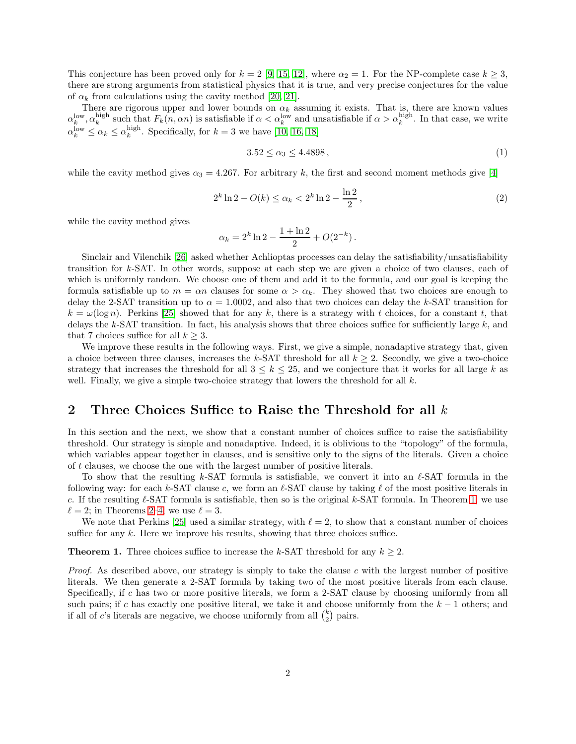This conjecture has been proved only for  $k = 2$  [\[9,](#page-8-3) [15,](#page-8-4) [12\]](#page-8-5), where  $\alpha_2 = 1$ . For the NP-complete case  $k \geq 3$ , there are strong arguments from statistical physics that it is true, and very precise conjectures for the value of  $\alpha_k$  from calculations using the cavity method [\[20,](#page-8-6) [21\]](#page-8-7).

There are rigorous upper and lower bounds on  $\alpha_k$  assuming it exists. That is, there are known values  $\alpha_k^{\text{low}}, \alpha_k^{\text{high}}$  such that  $F_k(n, \alpha n)$  is satisfiable if  $\alpha < \alpha_k^{\text{low}}$  and unsatisfiable if  $\alpha > \alpha_k^{\text{high}}$ . In that case, we write  $\alpha_k^{\text{low}} \leq \alpha_k \leq \alpha_k^{\text{high}}$ . Specifically, for  $k = 3$  we have [\[10,](#page-8-8) [16,](#page-8-9) [18\]](#page-8-10)

$$
3.52 \le \alpha_3 \le 4.4898\,,\tag{1}
$$

while the cavity method gives  $\alpha_3 = 4.267$ . For arbitrary k, the first and second moment methods give [\[4\]](#page-8-11)

<span id="page-1-1"></span>
$$
2^{k}\ln 2 - O(k) \le \alpha_k < 2^k \ln 2 - \frac{\ln 2}{2},\tag{2}
$$

while the cavity method gives

$$
\alpha_k = 2^k \ln 2 - \frac{1 + \ln 2}{2} + O(2^{-k}).
$$

Sinclair and Vilenchik [\[26\]](#page-9-1) asked whether Achlioptas processes can delay the satisfiability/unsatisfiability transition for k-SAT. In other words, suppose at each step we are given a choice of two clauses, each of which is uniformly random. We choose one of them and add it to the formula, and our goal is keeping the formula satisfiable up to  $m = \alpha n$  clauses for some  $\alpha > \alpha_k$ . They showed that two choices are enough to delay the 2-SAT transition up to  $\alpha = 1.0002$ , and also that two choices can delay the k-SAT transition for  $k = \omega(\log n)$ . Perkins [\[25\]](#page-9-2) showed that for any k, there is a strategy with t choices, for a constant t, that delays the  $k$ -SAT transition. In fact, his analysis shows that three choices suffice for sufficiently large  $k$ , and that 7 choices suffice for all  $k \geq 3$ .

We improve these results in the following ways. First, we give a simple, nonadaptive strategy that, given a choice between three clauses, increases the k-SAT threshold for all  $k \geq 2$ . Secondly, we give a two-choice strategy that increases the threshold for all  $3 \leq k \leq 25$ , and we conjecture that it works for all large k as well. Finally, we give a simple two-choice strategy that lowers the threshold for all  $k$ .

#### 2 Three Choices Suffice to Raise the Threshold for all  $k$

In this section and the next, we show that a constant number of choices suffice to raise the satisfiability threshold. Our strategy is simple and nonadaptive. Indeed, it is oblivious to the "topology" of the formula, which variables appear together in clauses, and is sensitive only to the signs of the literals. Given a choice of t clauses, we choose the one with the largest number of positive literals.

To show that the resulting k-SAT formula is satisfiable, we convert it into an  $\ell$ -SAT formula in the following way: for each k-SAT clause c, we form an  $\ell$ -SAT clause by taking  $\ell$  of the most positive literals in c. If the resulting  $\ell$ -SAT formula is satisfiable, then so is the original k-SAT formula. In Theorem [1,](#page-1-0) we use  $\ell = 2$  $\ell = 2$ ; in Theorems 2[–4,](#page-5-0) we use  $\ell = 3$ .

We note that Perkins [\[25\]](#page-9-2) used a similar strategy, with  $\ell = 2$ , to show that a constant number of choices suffice for any  $k$ . Here we improve his results, showing that three choices suffice.

<span id="page-1-0"></span>**Theorem 1.** Three choices suffice to increase the k-SAT threshold for any  $k \geq 2$ .

*Proof.* As described above, our strategy is simply to take the clause c with the largest number of positive literals. We then generate a 2-SAT formula by taking two of the most positive literals from each clause. Specifically, if c has two or more positive literals, we form a 2-SAT clause by choosing uniformly from all such pairs; if c has exactly one positive literal, we take it and choose uniformly from the  $k-1$  others; and if all of c's literals are negative, we choose uniformly from all  $\binom{k}{2}$  pairs.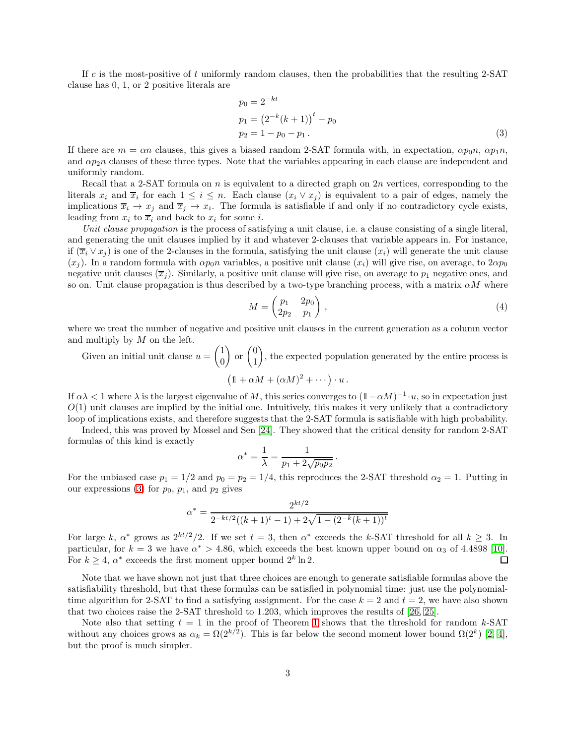If c is the most-positive of t uniformly random clauses, then the probabilities that the resulting 2-SAT clause has 0, 1, or 2 positive literals are

<span id="page-2-0"></span>
$$
p_0 = 2^{-kt}
$$
  
\n
$$
p_1 = (2^{-k}(k+1))^{t} - p_0
$$
  
\n
$$
p_2 = 1 - p_0 - p_1.
$$
\n(3)

If there are  $m = \alpha n$  clauses, this gives a biased random 2-SAT formula with, in expectation,  $\alpha p_0 n$ ,  $\alpha p_1 n$ , and  $\alpha p_2 n$  clauses of these three types. Note that the variables appearing in each clause are independent and uniformly random.

Recall that a 2-SAT formula on n is equivalent to a directed graph on 2n vertices, corresponding to the literals  $x_i$  and  $\overline{x}_i$  for each  $1 \leq i \leq n$ . Each clause  $(x_i \vee x_j)$  is equivalent to a pair of edges, namely the implications  $\overline{x}_i \to x_j$  and  $\overline{x}_j \to x_i$ . The formula is satisfiable if and only if no contradictory cycle exists, leading from  $x_i$  to  $\overline{x}_i$  and back to  $x_i$  for some *i*.

Unit clause propagation is the process of satisfying a unit clause, i.e. a clause consisting of a single literal, and generating the unit clauses implied by it and whatever 2-clauses that variable appears in. For instance, if  $(\overline{x}_i \vee x_i)$  is one of the 2-clauses in the formula, satisfying the unit clause  $(x_i)$  will generate the unit clause  $(x_i)$ . In a random formula with  $\alpha p_0 n$  variables, a positive unit clause  $(x_i)$  will give rise, on average, to  $2\alpha p_0$ negative unit clauses  $(\overline{x}_j)$ . Similarly, a positive unit clause will give rise, on average to  $p_1$  negative ones, and so on. Unit clause propagation is thus described by a two-type branching process, with a matrix  $\alpha M$  where

<span id="page-2-1"></span>
$$
M = \begin{pmatrix} p_1 & 2p_0 \\ 2p_2 & p_1 \end{pmatrix},\tag{4}
$$

where we treat the number of negative and positive unit clauses in the current generation as a column vector and multiply by M on the left.

Given an initial unit clause  $u = \begin{pmatrix} 1 \\ 0 \end{pmatrix}$  $\theta$  $\Big)$  or  $\Big( \begin{matrix} 0 \\ 1 \end{matrix} \Big)$ 1 ), the expected population generated by the entire process is  $(1 + \alpha M + (\alpha M)^2 + \cdots) \cdot u$ .

If  $\alpha \lambda < 1$  where  $\lambda$  is the largest eigenvalue of M, this series converges to  $(1 - \alpha M)^{-1} \cdot u$ , so in expectation just  $O(1)$  unit clauses are implied by the initial one. Intuitively, this makes it very unlikely that a contradictory loop of implications exists, and therefore suggests that the 2-SAT formula is satisfiable with high probability.

Indeed, this was proved by Mossel and Sen [\[24\]](#page-9-3). They showed that the critical density for random 2-SAT formulas of this kind is exactly

$$
\alpha^* = \frac{1}{\lambda} = \frac{1}{p_1 + 2\sqrt{p_0 p_2}}.
$$

For the unbiased case  $p_1 = 1/2$  and  $p_0 = p_2 = 1/4$ , this reproduces the 2-SAT threshold  $\alpha_2 = 1$ . Putting in our expressions [\(3\)](#page-2-0) for  $p_0$ ,  $p_1$ , and  $p_2$  gives

$$
\alpha^* = \frac{2^{kt/2}}{2^{-kt/2}((k+1)^t - 1) + 2\sqrt{1 - (2^{-k}(k+1))^t}}
$$

For large k,  $\alpha^*$  grows as  $2^{kt/2}/2$ . If we set  $t = 3$ , then  $\alpha^*$  exceeds the k-SAT threshold for all  $k \geq 3$ . In particular, for  $k = 3$  we have  $\alpha^* > 4.86$ , which exceeds the best known upper bound on  $\alpha_3$  of 4.4898 [\[10\]](#page-8-8). For  $k \geq 4$ ,  $\alpha^*$  exceeds the first moment upper bound  $2^k \ln 2$ . □

Note that we have shown not just that three choices are enough to generate satisfiable formulas above the satisfiability threshold, but that these formulas can be satisfied in polynomial time: just use the polynomialtime algorithm for 2-SAT to find a satisfying assignment. For the case  $k = 2$  and  $t = 2$ , we have also shown that two choices raise the 2-SAT threshold to 1.203, which improves the results of [\[26,](#page-9-1) [25\]](#page-9-2).

Note also that setting  $t = 1$  $t = 1$  in the proof of Theorem 1 shows that the threshold for random k-SAT without any choices grows as  $\alpha_k = \Omega(2^{k/2})$ . This is far below the second moment lower bound  $\Omega(2^k)$  [\[2,](#page-7-1) [4\]](#page-8-11), but the proof is much simpler.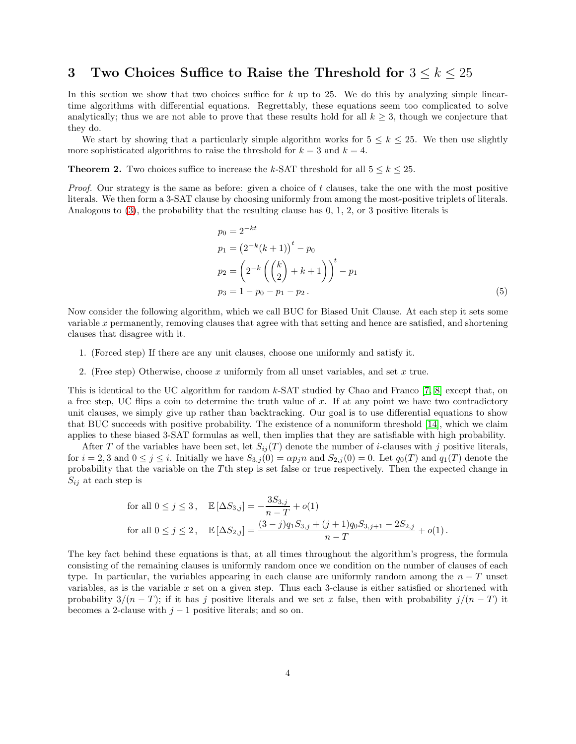# 3 Two Choices Suffice to Raise the Threshold for  $3 \leq k \leq 25$

In this section we show that two choices suffice for  $k$  up to 25. We do this by analyzing simple lineartime algorithms with differential equations. Regrettably, these equations seem too complicated to solve analytically; thus we are not able to prove that these results hold for all  $k \geq 3$ , though we conjecture that they do.

We start by showing that a particularly simple algorithm works for  $5 \leq k \leq 25$ . We then use slightly more sophisticated algorithms to raise the threshold for  $k = 3$  and  $k = 4$ .

<span id="page-3-0"></span>**Theorem 2.** Two choices suffice to increase the k-SAT threshold for all  $5 \le k \le 25$ .

*Proof.* Our strategy is the same as before: given a choice of t clauses, take the one with the most positive literals. We then form a 3-SAT clause by choosing uniformly from among the most-positive triplets of literals. Analogous to [\(3\)](#page-2-0), the probability that the resulting clause has 0, 1, 2, or 3 positive literals is

$$
p_0 = 2^{-kt}
$$
  
\n
$$
p_1 = (2^{-k}(k+1))^{t} - p_0
$$
  
\n
$$
p_2 = (2^{-k} ((\binom{k}{2} + k + 1))^{t} - p_1
$$
  
\n
$$
p_3 = 1 - p_0 - p_1 - p_2.
$$
\n(5)

Now consider the following algorithm, which we call BUC for Biased Unit Clause. At each step it sets some variable x permanently, removing clauses that agree with that setting and hence are satisfied, and shortening clauses that disagree with it.

- 1. (Forced step) If there are any unit clauses, choose one uniformly and satisfy it.
- 2. (Free step) Otherwise, choose  $x$  uniformly from all unset variables, and set  $x$  true.

This is identical to the UC algorithm for random k-SAT studied by Chao and Franco [\[7,](#page-8-12) [8\]](#page-8-13) except that, on a free step. UC flips a coin to determine the truth value of  $x$ . If at any point we have two contradictory unit clauses, we simply give up rather than backtracking. Our goal is to use differential equations to show that BUC succeeds with positive probability. The existence of a nonuniform threshold [\[14\]](#page-8-14), which we claim applies to these biased 3-SAT formulas as well, then implies that they are satisfiable with high probability.

After T of the variables have been set, let  $S_{ij}(T)$  denote the number of *i*-clauses with j positive literals, for  $i = 2, 3$  and  $0 \le j \le i$ . Initially we have  $S_{3,j}(0) = \alpha p_j n$  and  $S_{2,j}(0) = 0$ . Let  $q_0(T)$  and  $q_1(T)$  denote the probability that the variable on the T<sup>th</sup> step is set false or true respectively. Then the expected change in  $S_{ij}$  at each step is

for all 
$$
0 \le j \le 3
$$
,  $\mathbb{E}[\Delta S_{3,j}] = -\frac{3S_{3,j}}{n-T} + o(1)$   
for all  $0 \le j \le 2$ ,  $\mathbb{E}[\Delta S_{2,j}] = \frac{(3-j)q_1S_{3,j} + (j+1)q_0S_{3,j+1} - 2S_{2,j}}{n-T} + o(1)$ .

The key fact behind these equations is that, at all times throughout the algorithm's progress, the formula consisting of the remaining clauses is uniformly random once we condition on the number of clauses of each type. In particular, the variables appearing in each clause are uniformly random among the  $n - T$  unset variables, as is the variable  $x$  set on a given step. Thus each 3-clause is either satisfied or shortened with probability  $3/(n-T)$ ; if it has j positive literals and we set x false, then with probability  $j/(n-T)$  it becomes a 2-clause with  $j - 1$  positive literals; and so on.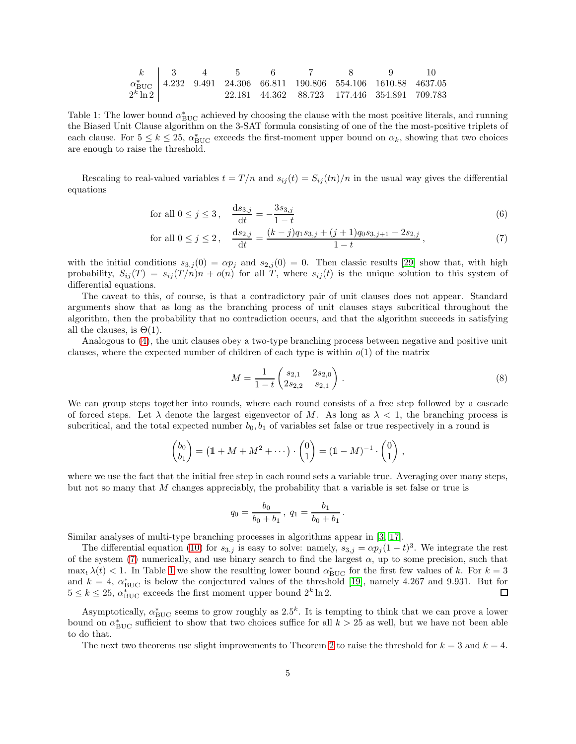|             |  |  | $k$   3   4   5   6   7   8 | $\overline{9}$                                                                      |  |
|-------------|--|--|-----------------------------|-------------------------------------------------------------------------------------|--|
|             |  |  |                             | $\alpha_{\text{BHC}}^*$   4.232 9.491 24.306 66.811 190.806 554.106 1610.88 4637.05 |  |
| $2^k \ln 2$ |  |  |                             | 22.181 44.362 88.723 177.446 354.891 709.783                                        |  |

<span id="page-4-1"></span>Table 1: The lower bound  $\alpha_{\text{BUC}}^*$  achieved by choosing the clause with the most positive literals, and running the Biased Unit Clause algorithm on the 3-SAT formula consisting of one of the the most-positive triplets of each clause. For  $5 \le k \le 25$ ,  $\alpha_{\text{BUC}}^*$  exceeds the first-moment upper bound on  $\alpha_k$ , showing that two choices are enough to raise the threshold.

Rescaling to real-valued variables  $t = T/n$  and  $s_{ij}(t) = S_{ij}(tn)/n$  in the usual way gives the differential equations

for all 
$$
0 \le j \le 3
$$
,  $\frac{ds_{3,j}}{dt} = -\frac{3s_{3,j}}{1-t}$  (6)

for all 
$$
0 \le j \le 2
$$
, 
$$
\frac{ds_{2,j}}{dt} = \frac{(k-j)q_1s_{3,j} + (j+1)q_0s_{3,j+1} - 2s_{2,j}}{1-t},
$$
 (7)

with the initial conditions  $s_{3,j}(0) = \alpha p_j$  and  $s_{2,j}(0) = 0$ . Then classic results [\[29\]](#page-9-4) show that, with high probability,  $S_{ij}(T) = s_{ij}(T/n)n + o(n)$  for all T, where  $s_{ij}(t)$  is the unique solution to this system of differential equations.

The caveat to this, of course, is that a contradictory pair of unit clauses does not appear. Standard arguments show that as long as the branching process of unit clauses stays subcritical throughout the algorithm, then the probability that no contradiction occurs, and that the algorithm succeeds in satisfying all the clauses, is  $\Theta(1)$ .

Analogous to [\(4\)](#page-2-1), the unit clauses obey a two-type branching process between negative and positive unit clauses, where the expected number of children of each type is within  $o(1)$  of the matrix

<span id="page-4-2"></span><span id="page-4-0"></span>
$$
M = \frac{1}{1-t} \begin{pmatrix} s_{2,1} & 2s_{2,0} \\ 2s_{2,2} & s_{2,1} \end{pmatrix} . \tag{8}
$$

.

We can group steps together into rounds, where each round consists of a free step followed by a cascade of forced steps. Let  $\lambda$  denote the largest eigenvector of M. As long as  $\lambda < 1$ , the branching process is subcritical, and the total expected number  $b_0, b_1$  of variables set false or true respectively in a round is

$$
\begin{pmatrix} b_0 \\ b_1 \end{pmatrix} = \left( 1 + M + M^2 + \cdots \right) \cdot \begin{pmatrix} 0 \\ 1 \end{pmatrix} = \left( 1 - M \right)^{-1} \cdot \begin{pmatrix} 0 \\ 1 \end{pmatrix},
$$

where we use the fact that the initial free step in each round sets a variable true. Averaging over many steps, but not so many that M changes appreciably, the probability that a variable is set false or true is

$$
q_0 = \frac{b_0}{b_0 + b_1}, \ q_1 = \frac{b_1}{b_0 + b_1}
$$

Similar analyses of multi-type branching processes in algorithms appear in [\[3,](#page-8-15) [17\]](#page-8-16).

The differential equation [\(10\)](#page-5-1) for  $s_{3,j}$  is easy to solve: namely,  $s_{3,j} = \alpha p_j (1-t)^3$ . We integrate the rest of the system [\(7\)](#page-4-0) numerically, and use binary search to find the largest  $\alpha$ , up to some precision, such that  $\max_t \lambda(t) < 1$  $\max_t \lambda(t) < 1$ . In Table 1 we show the resulting lower bound  $\alpha_{\text{BUC}}^*$  for the first few values of k. For  $k = 3$ and  $k = 4$ ,  $\alpha_{\text{BUC}}^*$  is below the conjectured values of the threshold [\[19\]](#page-8-17), namely 4.267 and 9.931. But for  $5 \leq k \leq 25$ ,  $\alpha_{\text{BUC}}^*$  exceeds the first moment upper bound  $2^k \ln 2$ .

Asymptotically,  $\alpha_{\text{BUC}}^*$  seems to grow roughly as 2.5<sup>k</sup>. It is tempting to think that we can prove a lower bound on  $\alpha_{\text{BUC}}^*$  sufficient to show that two choices suffice for all  $k > 25$  as well, but we have not been able to do that.

The next two theorems use slight improvements to Theorem [2](#page-3-0) to raise the threshold for  $k = 3$  and  $k = 4$ .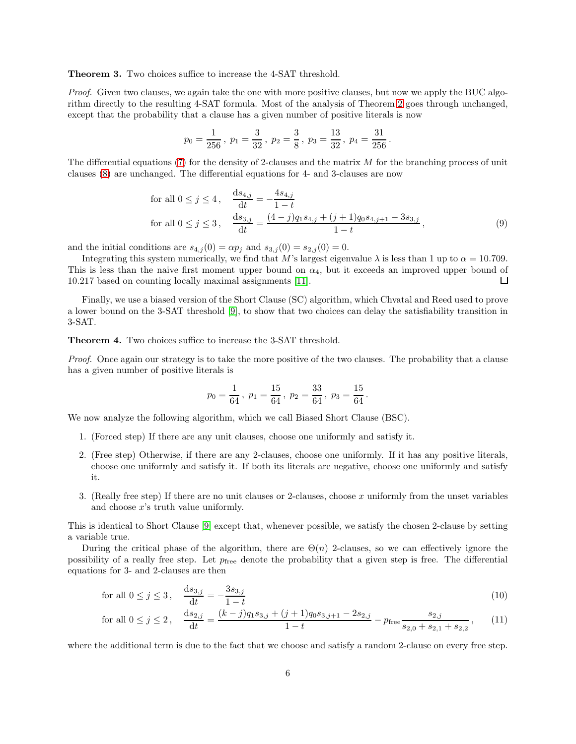Theorem 3. Two choices suffice to increase the 4-SAT threshold.

Proof. Given two clauses, we again take the one with more positive clauses, but now we apply the BUC algorithm directly to the resulting 4-SAT formula. Most of the analysis of Theorem [2](#page-3-0) goes through unchanged, except that the probability that a clause has a given number of positive literals is now

$$
p_0 = \frac{1}{256}
$$
,  $p_1 = \frac{3}{32}$ ,  $p_2 = \frac{3}{8}$ ,  $p_3 = \frac{13}{32}$ ,  $p_4 = \frac{31}{256}$ .

The differential equations [\(7\)](#page-4-0) for the density of 2-clauses and the matrix  $M$  for the branching process of unit clauses [\(8\)](#page-4-2) are unchanged. The differential equations for 4- and 3-clauses are now

for all 
$$
0 \le j \le 4
$$
, 
$$
\frac{ds_{4,j}}{dt} = -\frac{4s_{4,j}}{1-t}
$$
  
for all  $0 \le j \le 3$ , 
$$
\frac{ds_{3,j}}{dt} = \frac{(4-j)q_1s_{4,j} + (j+1)q_0s_{4,j+1} - 3s_{3,j}}{1-t}
$$
, (9)

and the initial conditions are  $s_{4,j}(0) = \alpha p_j$  and  $s_{3,j}(0) = s_{2,j}(0) = 0$ .

Integrating this system numerically, we find that M's largest eigenvalue  $\lambda$  is less than 1 up to  $\alpha = 10.709$ . This is less than the naive first moment upper bound on  $\alpha_4$ , but it exceeds an improved upper bound of 10.217 based on counting locally maximal assignments [\[11\]](#page-8-18).  $\Box$ 

Finally, we use a biased version of the Short Clause (SC) algorithm, which Chvatal and Reed used to prove a lower bound on the 3-SAT threshold [\[9\]](#page-8-3), to show that two choices can delay the satisfiability transition in 3-SAT.

<span id="page-5-0"></span>Theorem 4. Two choices suffice to increase the 3-SAT threshold.

Proof. Once again our strategy is to take the more positive of the two clauses. The probability that a clause has a given number of positive literals is

<span id="page-5-1"></span>
$$
p_0 = \frac{1}{64}
$$
,  $p_1 = \frac{15}{64}$ ,  $p_2 = \frac{33}{64}$ ,  $p_3 = \frac{15}{64}$ .

We now analyze the following algorithm, which we call Biased Short Clause (BSC).

- 1. (Forced step) If there are any unit clauses, choose one uniformly and satisfy it.
- 2. (Free step) Otherwise, if there are any 2-clauses, choose one uniformly. If it has any positive literals, choose one uniformly and satisfy it. If both its literals are negative, choose one uniformly and satisfy it.
- 3. (Really free step) If there are no unit clauses or 2-clauses, choose x uniformly from the unset variables and choose  $x$ 's truth value uniformly.

This is identical to Short Clause [\[9\]](#page-8-3) except that, whenever possible, we satisfy the chosen 2-clause by setting a variable true.

During the critical phase of the algorithm, there are  $\Theta(n)$  2-clauses, so we can effectively ignore the possibility of a really free step. Let  $p_{\text{free}}$  denote the probability that a given step is free. The differential equations for 3- and 2-clauses are then

for all 
$$
0 \le j \le 3
$$
,  $\frac{ds_{3,j}}{dt} = -\frac{3s_{3,j}}{1-t}$  (10)

for all 
$$
0 \le j \le 2
$$
, 
$$
\frac{ds_{2,j}}{dt} = \frac{(k-j)q_1s_{3,j} + (j+1)q_0s_{3,j+1} - 2s_{2,j}}{1-t} - p_{\text{free}} \frac{s_{2,j}}{s_{2,0} + s_{2,1} + s_{2,2}},
$$
(11)

where the additional term is due to the fact that we choose and satisfy a random 2-clause on every free step.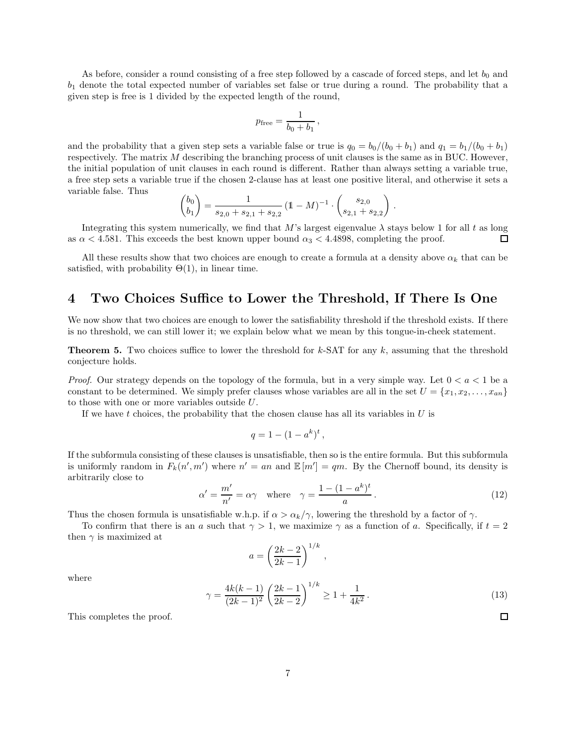As before, consider a round consisting of a free step followed by a cascade of forced steps, and let  $b_0$  and  $b_1$  denote the total expected number of variables set false or true during a round. The probability that a given step is free is 1 divided by the expected length of the round,

$$
p_{\text{free}} = \frac{1}{b_0 + b_1} \,,
$$

and the probability that a given step sets a variable false or true is  $q_0 = b_0/(b_0 + b_1)$  and  $q_1 = b_1/(b_0 + b_1)$ respectively. The matrix M describing the branching process of unit clauses is the same as in BUC. However, the initial population of unit clauses in each round is different. Rather than always setting a variable true, a free step sets a variable true if the chosen 2-clause has at least one positive literal, and otherwise it sets a variable false. Thus

$$
\begin{pmatrix} b_0 \\ b_1 \end{pmatrix} = \frac{1}{s_{2,0} + s_{2,1} + s_{2,2}} \left( 1 - M \right)^{-1} \cdot \begin{pmatrix} s_{2,0} \\ s_{2,1} + s_{2,2} \end{pmatrix}
$$

Integrating this system numerically, we find that M's largest eigenvalue  $\lambda$  stays below 1 for all t as long as  $\alpha$  < 4.581. This exceeds the best known upper bound  $\alpha_3$  < 4.4898, completing the proof.  $\Box$ 

All these results show that two choices are enough to create a formula at a density above  $\alpha_k$  that can be satisfied, with probability  $\Theta(1)$ , in linear time.

# 4 Two Choices Suffice to Lower the Threshold, If There Is One

We now show that two choices are enough to lower the satisfiability threshold if the threshold exists. If there is no threshold, we can still lower it; we explain below what we mean by this tongue-in-cheek statement.

<span id="page-6-0"></span>**Theorem 5.** Two choices suffice to lower the threshold for  $k$ -SAT for any  $k$ , assuming that the threshold conjecture holds.

*Proof.* Our strategy depends on the topology of the formula, but in a very simple way. Let  $0 < a < 1$  be a constant to be determined. We simply prefer clauses whose variables are all in the set  $U = \{x_1, x_2, \ldots, x_{an}\}$ to those with one or more variables outside U.

If we have t choices, the probability that the chosen clause has all its variables in  $U$  is

$$
q = 1 - (1 - a^k)^t,
$$

If the subformula consisting of these clauses is unsatisfiable, then so is the entire formula. But this subformula is uniformly random in  $F_k(n',m')$  where  $n' = an$  and  $\mathbb{E}[m'] = qm$ . By the Chernoff bound, its density is arbitrarily close to

<span id="page-6-1"></span>
$$
\alpha' = \frac{m'}{n'} = \alpha \gamma \quad \text{where} \quad \gamma = \frac{1 - (1 - a^k)^t}{a} \,. \tag{12}
$$

,

.

Thus the chosen formula is unsatisfiable w.h.p. if  $\alpha > \alpha_k/\gamma$ , lowering the threshold by a factor of  $\gamma$ .

To confirm that there is an a such that  $\gamma > 1$ , we maximize  $\gamma$  as a function of a. Specifically, if  $t = 2$ then  $\gamma$  is maximized at

$$
a = \left(\frac{2k-2}{2k-1}\right)^{1/k}
$$

where

<span id="page-6-2"></span>
$$
\gamma = \frac{4k(k-1)}{(2k-1)^2} \left(\frac{2k-1}{2k-2}\right)^{1/k} \ge 1 + \frac{1}{4k^2} \,. \tag{13}
$$

 $\Box$ 

This completes the proof.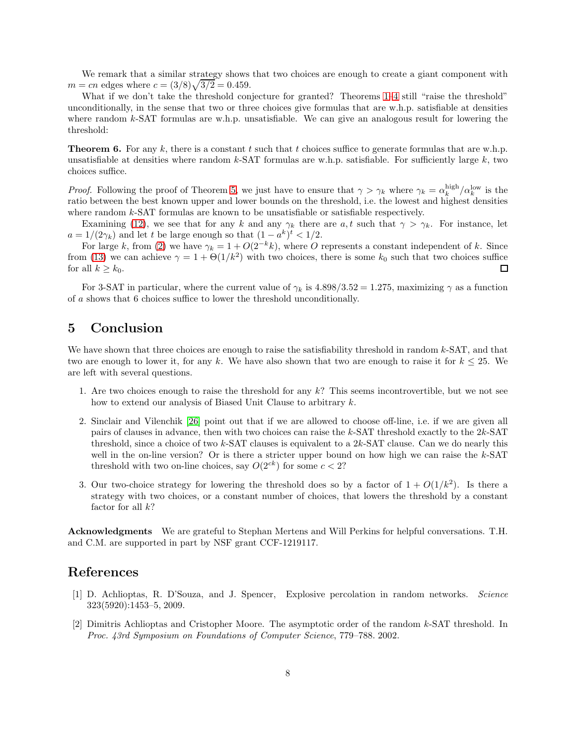We remark that a similar strategy shows that two choices are enough to create a giant component with  $m = cn$  edges where  $c = (3/8)\sqrt{3/2} = 0.459$ .

What if we don't take the threshold conjecture for granted? Theorems [1](#page-1-0)[–4](#page-5-0) still "raise the threshold" unconditionally, in the sense that two or three choices give formulas that are w.h.p. satisfiable at densities where random  $k$ -SAT formulas are w.h.p. unsatisfiable. We can give an analogous result for lowering the threshold:

**Theorem 6.** For any k, there is a constant t such that t choices suffice to generate formulas that are w.h.p. unsatisfiable at densities where random  $k$ -SAT formulas are w.h.p. satisfiable. For sufficiently large  $k$ , two choices suffice.

*Proof.* Following the proof of Theorem [5,](#page-6-0) we just have to ensure that  $\gamma > \gamma_k$  where  $\gamma_k = \alpha_k^{\text{high}}/\alpha_k^{\text{low}}$  is the ratio between the best known upper and lower bounds on the threshold, i.e. the lowest and highest densities where random k-SAT formulas are known to be unsatisfiable or satisfiable respectively.

Examining [\(12\)](#page-6-1), we see that for any k and any  $\gamma_k$  there are a, t such that  $\gamma > \gamma_k$ . For instance, let  $a = 1/(2\gamma_k)$  and let t be large enough so that  $(1 - a^k)^t < 1/2$ .

For large k, from [\(2\)](#page-1-1) we have  $\gamma_k = 1 + O(2^{-k}k)$ , where O represents a constant independent of k. Since from [\(13\)](#page-6-2) we can achieve  $\gamma = 1 + \Theta(1/k^2)$  with two choices, there is some  $k_0$  such that two choices suffice for all  $k \geq k_0$ .  $\Box$ 

For 3-SAT in particular, where the current value of  $\gamma_k$  is 4.898/3.52 = 1.275, maximizing  $\gamma$  as a function of a shows that 6 choices suffice to lower the threshold unconditionally.

# 5 Conclusion

We have shown that three choices are enough to raise the satisfiability threshold in random  $k$ -SAT, and that two are enough to lower it, for any k. We have also shown that two are enough to raise it for  $k \leq 25$ . We are left with several questions.

- 1. Are two choices enough to raise the threshold for any  $k$ ? This seems incontrovertible, but we not see how to extend our analysis of Biased Unit Clause to arbitrary k.
- 2. Sinclair and Vilenchik [\[26\]](#page-9-1) point out that if we are allowed to choose off-line, i.e. if we are given all pairs of clauses in advance, then with two choices can raise the k-SAT threshold exactly to the 2k-SAT threshold, since a choice of two k-SAT clauses is equivalent to a  $2k$ -SAT clause. Can we do nearly this well in the on-line version? Or is there a stricter upper bound on how high we can raise the  $k$ -SAT threshold with two on-line choices, say  $O(2^{ck})$  for some  $c < 2$ ?
- 3. Our two-choice strategy for lowering the threshold does so by a factor of  $1 + O(1/k^2)$ . Is there a strategy with two choices, or a constant number of choices, that lowers the threshold by a constant factor for all  $k$ ?

Acknowledgments We are grateful to Stephan Mertens and Will Perkins for helpful conversations. T.H. and C.M. are supported in part by NSF grant CCF-1219117.

## <span id="page-7-0"></span>References

- [1] D. Achlioptas, R. D'Souza, and J. Spencer, Explosive percolation in random networks. Science 323(5920):1453–5, 2009.
- <span id="page-7-1"></span>[2] Dimitris Achlioptas and Cristopher Moore. The asymptotic order of the random k-SAT threshold. In Proc. 43rd Symposium on Foundations of Computer Science, 779–788. 2002.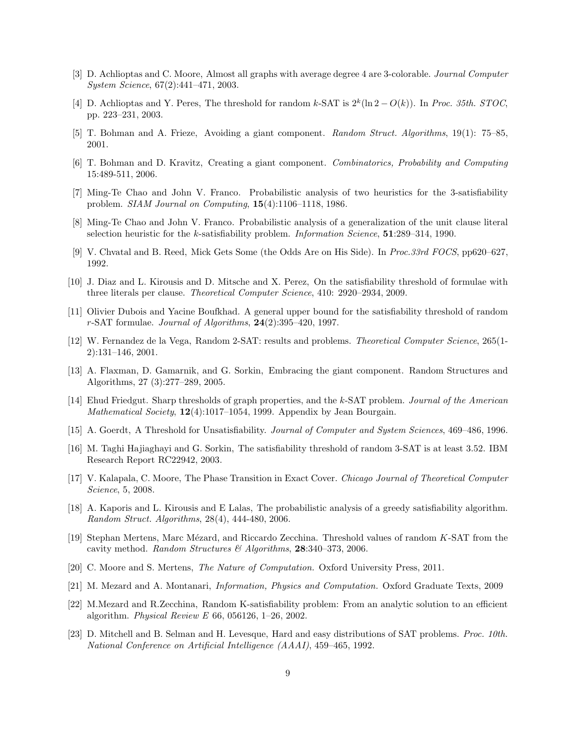- <span id="page-8-15"></span><span id="page-8-11"></span>[3] D. Achlioptas and C. Moore, Almost all graphs with average degree 4 are 3-colorable. Journal Computer System Science, 67(2):441–471, 2003.
- [4] D. Achlioptas and Y. Peres, The threshold for random k-SAT is  $2^k(\ln 2 O(k))$ . In *Proc. 35th. STOC*, pp. 223–231, 2003.
- <span id="page-8-2"></span><span id="page-8-0"></span>[5] T. Bohman and A. Frieze, Avoiding a giant component. Random Struct. Algorithms, 19(1): 75–85, 2001.
- <span id="page-8-12"></span>[6] T. Bohman and D. Kravitz, Creating a giant component. Combinatorics, Probability and Computing 15:489-511, 2006.
- <span id="page-8-13"></span>[7] Ming-Te Chao and John V. Franco. Probabilistic analysis of two heuristics for the 3-satisfiability problem. SIAM Journal on Computing, 15(4):1106–1118, 1986.
- <span id="page-8-3"></span>[8] Ming-Te Chao and John V. Franco. Probabilistic analysis of a generalization of the unit clause literal selection heuristic for the k-satisfiability problem. Information Science, 51:289–314, 1990.
- <span id="page-8-8"></span>[9] V. Chvatal and B. Reed, Mick Gets Some (the Odds Are on His Side). In Proc.33rd FOCS, pp620–627, 1992.
- <span id="page-8-18"></span>[10] J. Diaz and L. Kirousis and D. Mitsche and X. Perez, On the satisfiability threshold of formulae with three literals per clause. Theoretical Computer Science, 410: 2920–2934, 2009.
- [11] Olivier Dubois and Yacine Boufkhad. A general upper bound for the satisfiability threshold of random r-SAT formulae. Journal of Algorithms, 24(2):395–420, 1997.
- <span id="page-8-5"></span>[12] W. Fernandez de la Vega, Random 2-SAT: results and problems. Theoretical Computer Science, 265(1- 2):131–146, 2001.
- <span id="page-8-1"></span>[13] A. Flaxman, D. Gamarnik, and G. Sorkin, Embracing the giant component. Random Structures and Algorithms, 27 (3):277–289, 2005.
- <span id="page-8-14"></span>[14] Ehud Friedgut. Sharp thresholds of graph properties, and the k-SAT problem. Journal of the American Mathematical Society, 12(4):1017-1054, 1999. Appendix by Jean Bourgain.
- <span id="page-8-9"></span><span id="page-8-4"></span>[15] A. Goerdt, A Threshold for Unsatisfiability. Journal of Computer and System Sciences, 469–486, 1996.
- [16] M. Taghi Hajiaghayi and G. Sorkin, The satisfiability threshold of random 3-SAT is at least 3.52. IBM Research Report RC22942, 2003.
- <span id="page-8-16"></span>[17] V. Kalapala, C. Moore, The Phase Transition in Exact Cover. Chicago Journal of Theoretical Computer Science, 5, 2008.
- <span id="page-8-10"></span>[18] A. Kaporis and L. Kirousis and E Lalas, The probabilistic analysis of a greedy satisfiability algorithm. Random Struct. Algorithms, 28(4), 444-480, 2006.
- <span id="page-8-17"></span>[19] Stephan Mertens, Marc Mézard, and Riccardo Zecchina. Threshold values of random K-SAT from the cavity method. Random Structures & Algorithms,  $28:340-373$ , 2006.
- <span id="page-8-7"></span><span id="page-8-6"></span>[20] C. Moore and S. Mertens, The Nature of Computation. Oxford University Press, 2011.
- [21] M. Mezard and A. Montanari, Information, Physics and Computation. Oxford Graduate Texts, 2009
- [22] M.Mezard and R.Zecchina, Random K-satisfiability problem: From an analytic solution to an efficient algorithm. Physical Review E 66, 056126, 1–26, 2002.
- [23] D. Mitchell and B. Selman and H. Levesque, Hard and easy distributions of SAT problems. Proc. 10th. National Conference on Artificial Intelligence (AAAI), 459–465, 1992.